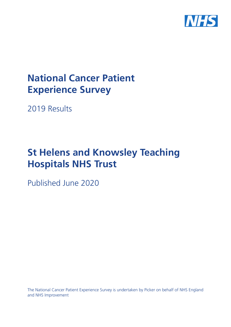

# **National Cancer Patient Experience Survey**

2019 Results

# **St Helens and Knowsley Teaching Hospitals NHS Trust**

Published June 2020

The National Cancer Patient Experience Survey is undertaken by Picker on behalf of NHS England and NHS Improvement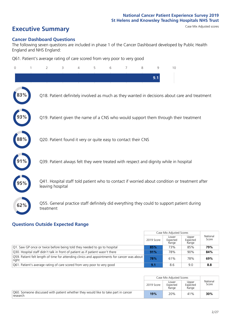# **Executive Summary** Case Mix Adjusted scores

#### **Cancer Dashboard Questions**

The following seven questions are included in phase 1 of the Cancer Dashboard developed by Public Health England and NHS England:

Q61. Patient's average rating of care scored from very poor to very good

| $\Omega$ | $\overline{2}$                                                | 3 | 4 | 5 | 6 | 7 | 8 | 9   | 10                                                                                            |  |
|----------|---------------------------------------------------------------|---|---|---|---|---|---|-----|-----------------------------------------------------------------------------------------------|--|
|          |                                                               |   |   |   |   |   |   | 9.1 |                                                                                               |  |
|          |                                                               |   |   |   |   |   |   |     | Q18. Patient definitely involved as much as they wanted in decisions about care and treatment |  |
|          |                                                               |   |   |   |   |   |   |     | Q19. Patient given the name of a CNS who would support them through their treatment           |  |
| 88%      | Q20. Patient found it very or quite easy to contact their CNS |   |   |   |   |   |   |     |                                                                                               |  |
|          |                                                               |   |   |   |   |   |   |     | Q39. Patient always felt they were treated with respect and dignity while in hospital         |  |
|          | leaving hospital                                              |   |   |   |   |   |   |     | Q41. Hospital staff told patient who to contact if worried about condition or treatment after |  |
| 62%      | treatment                                                     |   |   |   |   |   |   |     | Q55. General practice staff definitely did everything they could to support patient during    |  |

### **Questions Outside Expected Range**

|                                                                                                       |            | Case Mix Adjusted Scores   |                            |                   |
|-------------------------------------------------------------------------------------------------------|------------|----------------------------|----------------------------|-------------------|
|                                                                                                       | 2019 Score | Lower<br>Expected<br>Range | Upper<br>Expected<br>Range | National<br>Score |
| Q1. Saw GP once or twice before being told they needed to go to hospital                              | 85%        | 73%                        | 85%                        | 79%               |
| Q30. Hospital staff didn't talk in front of patient as if patient wasn't there                        | 91%        | 78%                        | 90%                        | 84%               |
| Q59. Patient felt length of time for attending clinics and appointments for cancer was about<br>right | 78%        | 61%                        | 78%                        | 69%               |
| Q61. Patient's average rating of care scored from very poor to very good                              | 9.1        | 8.6                        | 9.0                        | 8.8               |

|                                                                                                |            | Case Mix Adjusted Scores   |                            |                   |
|------------------------------------------------------------------------------------------------|------------|----------------------------|----------------------------|-------------------|
|                                                                                                | 2019 Score | Lower<br>Expected<br>Range | Upper<br>Expected<br>Range | National<br>Score |
| Q60. Someone discussed with patient whether they would like to take part in cancer<br>research | 19%        | 20%                        | 41%                        | 30%               |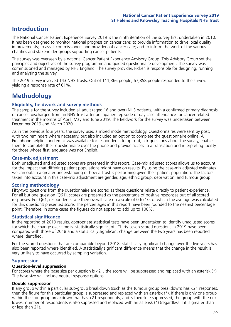# **Introduction**

The National Cancer Patient Experience Survey 2019 is the ninth iteration of the survey first undertaken in 2010. It has been designed to monitor national progress on cancer care; to provide information to drive local quality improvements; to assist commissioners and providers of cancer care; and to inform the work of the various charities and stakeholder groups supporting cancer patients.

The survey was overseen by a national Cancer Patient Experience Advisory Group. This Advisory Group set the principles and objectives of the survey programme and guided questionnaire development. The survey was commissioned and managed by NHS England. The survey provider, Picker, is responsible for designing, running and analysing the survey.

The 2019 survey involved 143 NHS Trusts. Out of 111,366 people, 67,858 people responded to the survey, yielding a response rate of 61%.

# **Methodology**

#### **Eligibility, eldwork and survey methods**

The sample for the survey included all adult (aged 16 and over) NHS patients, with a confirmed primary diagnosis of cancer, discharged from an NHS Trust after an inpatient episode or day case attendance for cancer related treatment in the months of April, May and June 2019. The fieldwork for the survey was undertaken between December 2019 and March 2020.

As in the previous four years, the survey used a mixed mode methodology. Questionnaires were sent by post, with two reminders where necessary, but also included an option to complete the questionnaire online. A Freephone helpline and email was available for respondents to opt out, ask questions about the survey, enable them to complete their questionnaire over the phone and provide access to a translation and interpreting facility for those whose first language was not English.

#### **Case-mix adjustment**

Both unadjusted and adjusted scores are presented in this report. Case-mix adjusted scores allows us to account for the impact that differing patient populations might have on results. By using the case-mix adjusted estimates we can obtain a greater understanding of how a Trust is performing given their patient population. The factors taken into account in this case-mix adjustment are gender, age, ethnic group, deprivation, and tumour group.

#### **Scoring methodology**

Fifty-two questions from the questionnaire are scored as these questions relate directly to patient experience. For all but one question (Q61), scores are presented as the percentage of positive responses out of all scored responses. For Q61, respondents rate their overall care on a scale of 0 to 10, of which the average was calculated for this question's presented score. The percentages in this report have been rounded to the nearest percentage point. Therefore, in some cases the figures do not appear to add up to 100%.

#### **Statistical significance**

In the reporting of 2019 results, appropriate statistical tests have been undertaken to identify unadjusted scores for which the change over time is 'statistically significant'. Thirty-seven scored questions in 2019 have been compared with those of 2018 and a statistically significant change between the two years has been reported where identified.

For the scored questions that are comparable beyond 2018, statistically significant change over the five years has also been reported where identified. A statistically significant difference means that the change in the result is very unlikely to have occurred by sampling variation.

#### **Suppression**

#### **Question-level suppression**

For scores where the base size per question is  $<$ 21, the score will be suppressed and replaced with an asterisk (\*). The base size will include neutral response options.

#### **Double suppression**

If any group within a particular sub-group breakdown (such as the tumour group breakdown) has <21 responses, then the figure for this particular group is suppressed and replaced with an asterisk (\*). If there is only one group within the sub-group breakdown that has <21 respondents, and is therefore suppressed, the group with the next lowest number of respondents is also supressed and replaced with an asterisk (\*) (regardless if it is greater than or less than 21).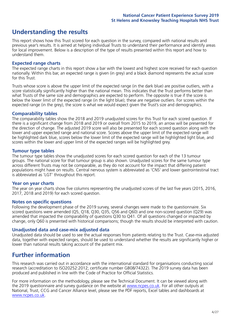## **Understanding the results**

This report shows how this Trust scored for each question in the survey, compared with national results and previous year's results. It is aimed at helping individual Trusts to understand their performance and identify areas for local improvement. Below is a description of the type of results presented within this report and how to understand them.

#### **Expected range charts**

The expected range charts in this report show a bar with the lowest and highest score received for each question nationally. Within this bar, an expected range is given (in grey) and a black diamond represents the actual score for this Trust.

Trusts whose score is above the upper limit of the expected range (in the dark blue) are positive outliers, with a score statistically significantly higher than the national mean. This indicates that the Trust performs better than what Trusts of the same size and demographics are expected to perform. The opposite is true if the score is below the lower limit of the expected range (in the light blue); these are negative outliers. For scores within the expected range (in the grey), the score is what we would expect given the Trust's size and demographics.

#### **Comparability tables**

The comparability tables show the 2018 and 2019 unadjusted scores for this Trust for each scored question. If there is a significant change from 2018 and 2019 or overall from 2015 to 2019, an arrow will be presented for the direction of change. The adjusted 2019 score will also be presented for each scored question along with the lower and upper expected range and national score. Scores above the upper limit of the expected range will be highlighted dark blue, scores below the lower limit of the expected range will be highlighted light blue, and scores within the lower and upper limit of the expected ranges will be highlighted grey.

#### **Tumour type tables**

The tumour type tables show the unadjusted scores for each scored question for each of the 13 tumour groups. The national score for that tumour group is also shown. Unadjusted scores for the same tumour type across different Trusts may not be comparable, as they do not account for the impact that differing patient populations might have on results. Central nervous system is abbreviated as 'CNS' and lower gastrointestinal tract is abbreviated as 'LGT' throughout this report.

#### **Year on year charts**

The year on year charts show five columns representing the unadjusted scores of the last five years (2015, 2016, 2017, 2018 and 2019) for each scored question.

#### **Notes on specific questions**

Following the development phase of the 2019 survey, several changes were made to the questionnaire. Six scored questions were amended (Q5, Q18, Q30, Q35, Q56 and Q60) and one non-scored question (Q29) was amended that impacted the comparability of questions Q30 to Q41. Of all questions changed or impacted by change, only Q60 is presented with historical comparisons; though the results should be interpreted with caution.

#### **Unadjusted data and case-mix adjusted data**

Unadjusted data should be used to see the actual responses from patients relating to the Trust. Case-mix adjusted data, together with expected ranges, should be used to understand whether the results are significantly higher or lower than national results taking account of the patient mix.

### **Further information**

This research was carried out in accordance with the international standard for organisations conducting social research (accreditation to ISO20252:2012; certificate number GB08/74322). The 2019 survey data has been produced and published in line with the Code of Practice for Official Statistics.

For more information on the methodology, please see the Technical Document. It can be viewed along with the 2019 questionnaire and survey quidance on the website at [www.ncpes.co.uk](https://www.ncpes.co.uk/supporting-documents). For all other outputs at National, Trust, CCG and Cancer Alliance level, please see the PDF reports, Excel tables and dashboards at [www.ncpes.co.uk.](https://www.ncpes.co.uk/current-results)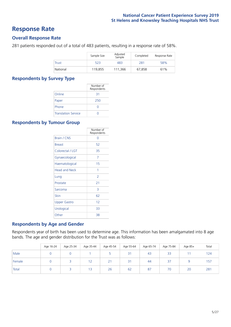### **Response Rate**

#### **Overall Response Rate**

281 patients responded out of a total of 483 patients, resulting in a response rate of 58%.

|              | Sample Size | Adjusted<br>Sample | Completed | Response Rate |
|--------------|-------------|--------------------|-----------|---------------|
| <b>Trust</b> | 523         | 483                | 281       | 58%           |
| National     | 119.855     | 111.366            | 67.858    | 61%           |

#### **Respondents by Survey Type**

|                            | Number of<br>Respondents |
|----------------------------|--------------------------|
| Online                     | 31                       |
| Paper                      | 250                      |
| Phone                      |                          |
| <b>Translation Service</b> |                          |

#### **Respondents by Tumour Group**

|                      | Number of<br>Respondents |
|----------------------|--------------------------|
| <b>Brain / CNS</b>   | ∩                        |
| <b>Breast</b>        | 52                       |
| Colorectal / LGT     | 35                       |
| Gynaecological       | 7                        |
| Haematological       | 15                       |
| <b>Head and Neck</b> | 1                        |
| Lung                 | $\overline{2}$           |
| Prostate             | 21                       |
| Sarcoma              | 3                        |
| Skin                 | 62                       |
| Upper Gastro         | 12                       |
| Urological           | 33                       |
| Other                | 38                       |

#### **Respondents by Age and Gender**

Respondents year of birth has been used to determine age. This information has been amalgamated into 8 age bands. The age and gender distribution for the Trust was as follows:

|        | Age 16-24 | Age 25-34 | Age 35-44 | Age 45-54 | Age 55-64 | Age 65-74 | Age 75-84 | Age 85+ | Total |
|--------|-----------|-----------|-----------|-----------|-----------|-----------|-----------|---------|-------|
| Male   |           |           |           |           | 31        | 43        | 33        |         | 124   |
| Female |           |           | 12        | 21        | 31        | 44        | 37        |         | 157   |
| Total  |           |           | 13        | 26        | 62        | 87        | 70        | 20      | 281   |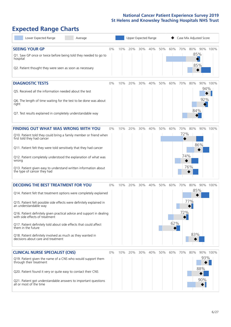# **Expected Range Charts**

| Lower Expected Range<br>Average                                                                                                                                                                                                                                                                                                                                                                                                                                                                                             |       |     | Upper Expected Range |     |     |     |            |                   | Case Mix Adjusted Score  |                 |
|-----------------------------------------------------------------------------------------------------------------------------------------------------------------------------------------------------------------------------------------------------------------------------------------------------------------------------------------------------------------------------------------------------------------------------------------------------------------------------------------------------------------------------|-------|-----|----------------------|-----|-----|-----|------------|-------------------|--------------------------|-----------------|
| <b>SEEING YOUR GP</b><br>Q1. Saw GP once or twice before being told they needed to go to<br>hospital<br>Q2. Patient thought they were seen as soon as necessary                                                                                                                                                                                                                                                                                                                                                             | $0\%$ | 10% | 20%                  | 30% | 40% | 50% | 60%        | 70%               | 80%<br>85%<br>85%        | 90% 100%        |
| <b>DIAGNOSTIC TESTS</b><br>Q5. Received all the information needed about the test<br>Q6. The length of time waiting for the test to be done was about<br>right<br>Q7. Test results explained in completely understandable way                                                                                                                                                                                                                                                                                               | 0%    | 10% | 20%                  | 30% | 40% | 50% | 60%        | 70%               | 80%<br>92%<br>84%        | 90% 100%<br>94% |
| <b>FINDING OUT WHAT WAS WRONG WITH YOU</b><br>Q10. Patient told they could bring a family member or friend when<br>first told they had cancer<br>Q11. Patient felt they were told sensitively that they had cancer<br>Q12. Patient completely understood the explanation of what was<br>wrong<br>Q13. Patient given easy to understand written information about<br>the type of cancer they had                                                                                                                             | 0%    | 10% | 20%                  | 30% | 40% | 50% | 60%        | 70%<br>72%<br>74% | 80%<br>90%<br>86%<br>76% | 100%            |
| <b>DECIDING THE BEST TREATMENT FOR YOU</b><br>Q14. Patient felt that treatment options were completely explained<br>Q15. Patient felt possible side effects were definitely explained in<br>an understandable way<br>Q16. Patient definitely given practical advice and support in dealing<br>with side effects of treatment<br>Q17. Patient definitely told about side effects that could affect<br>them in the future<br>Q18. Patient definitely involved as much as they wanted in<br>decisions about care and treatment | 0%    | 10% | 20%                  | 30% | 40% | 50% | 60%<br>62% | 70%<br>72%        | 80%<br>85%<br>77%<br>83% | 90% 100%        |
| <b>CLINICAL NURSE SPECIALIST (CNS)</b><br>Q19. Patient given the name of a CNS who would support them<br>through their treatment<br>Q20. Patient found it very or quite easy to contact their CNS<br>Q21. Patient got understandable answers to important questions<br>all or most of the time                                                                                                                                                                                                                              | 0%    | 10% | 20%                  | 30% | 40% | 50% | 60%        | 70%               | 80%<br>88%<br>90%        | 90% 100%<br>93% |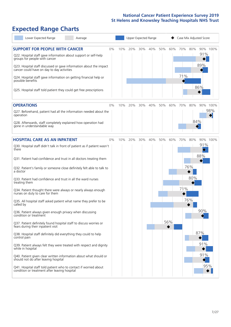# **Expected Range Charts**

| Lower Expected Range<br>Average                                                                                   |    |     | Upper Expected Range |     |     |     |     |     |     | Case Mix Adjusted Score |          |
|-------------------------------------------------------------------------------------------------------------------|----|-----|----------------------|-----|-----|-----|-----|-----|-----|-------------------------|----------|
| <b>SUPPORT FOR PEOPLE WITH CANCER</b><br>Q22. Hospital staff gave information about support or self-help          | 0% | 10% | 20%                  | 30% | 40% | 50% | 60% | 70% | 80% | 91%                     | 90% 100% |
| groups for people with cancer<br>Q23. Hospital staff discussed or gave information about the impact               |    |     |                      |     |     |     |     |     |     | 89%                     |          |
| cancer could have on day to day activities<br>Q24. Hospital staff gave information on getting financial help or   |    |     |                      |     |     |     |     | 71% |     |                         |          |
| possible benefits<br>Q25. Hospital staff told patient they could get free prescriptions                           |    |     |                      |     |     |     |     |     |     | 86%                     |          |
|                                                                                                                   |    |     |                      |     |     |     |     |     |     |                         |          |
| <b>OPERATIONS</b>                                                                                                 | 0% | 10% | 20%                  | 30% | 40% | 50% | 60% | 70% | 80% |                         | 90% 100% |
| Q27. Beforehand, patient had all the information needed about the<br>operation                                    |    |     |                      |     |     |     |     |     |     |                         | 98%      |
| Q28. Afterwards, staff completely explained how operation had<br>gone in understandable way                       |    |     |                      |     |     |     |     |     | 84% |                         |          |
| <b>HOSPITAL CARE AS AN INPATIENT</b>                                                                              | 0% | 10% | 20%                  | 30% | 40% | 50% | 60% | 70% | 80% |                         | 90% 100% |
| Q30. Hospital staff didn't talk in front of patient as if patient wasn't<br>there                                 |    |     |                      |     |     |     |     |     |     | 91%                     |          |
| Q31. Patient had confidence and trust in all doctors treating them                                                |    |     |                      |     |     |     |     |     |     | 88%                     |          |
| Q32. Patient's family or someone close definitely felt able to talk to<br>a doctor                                |    |     |                      |     |     |     |     |     | 76% |                         |          |
| Q33. Patient had confidence and trust in all the ward nurses<br>treating them                                     |    |     |                      |     |     |     |     |     | 80% |                         |          |
| Q34. Patient thought there were always or nearly always enough<br>nurses on duty to care for them                 |    |     |                      |     |     |     |     | 71% |     |                         |          |
| Q35. All hospital staff asked patient what name they prefer to be<br>called by                                    |    |     |                      |     |     |     |     |     | 76% |                         |          |
| Q36. Patient always given enough privacy when discussing<br>condition or treatment                                |    |     |                      |     |     |     |     |     |     | 90%                     |          |
| Q37. Patient definitely found hospital staff to discuss worries or<br>fears during their inpatient visit          |    |     |                      |     |     |     | 56% |     |     |                         |          |
| Q38. Hospital staff definitely did everything they could to help<br>control pain                                  |    |     |                      |     |     |     |     |     |     | 87%                     |          |
| Q39. Patient always felt they were treated with respect and dignity<br>while in hospital                          |    |     |                      |     |     |     |     |     |     | 91%                     |          |
| Q40. Patient given clear written information about what should or<br>should not do after leaving hospital         |    |     |                      |     |     |     |     |     |     | 91%                     |          |
| Q41. Hospital staff told patient who to contact if worried about<br>condition or treatment after leaving hospital |    |     |                      |     |     |     |     |     |     | 95%                     |          |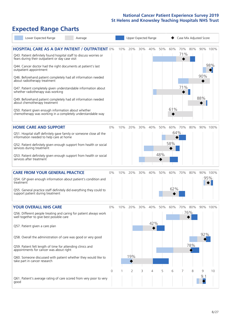# **Expected Range Charts**

| Lower Expected Range<br>Average                                                                                                                                                |                |     | Upper Expected Range |     |     |     |     | Case Mix Adjusted Score |     |          |          |
|--------------------------------------------------------------------------------------------------------------------------------------------------------------------------------|----------------|-----|----------------------|-----|-----|-----|-----|-------------------------|-----|----------|----------|
| <b>HOSPITAL CARE AS A DAY PATIENT / OUTPATIENT 0%</b><br>Q43. Patient definitely found hospital staff to discuss worries or<br>fears during their outpatient or day case visit |                | 10% | 20%                  | 30% | 40% | 50% | 60% | 70%<br>71%              | 80% |          | 90% 100% |
| Q44. Cancer doctor had the right documents at patient's last<br>outpatient appointment                                                                                         |                |     |                      |     |     |     |     |                         |     |          | 98%      |
| Q46. Beforehand patient completely had all information needed<br>about radiotherapy treatment                                                                                  |                |     |                      |     |     |     |     |                         |     | 90%      |          |
| Q47. Patient completely given understandable information about<br>whether radiotherapy was working                                                                             |                |     |                      |     |     |     |     | 71%                     |     | 88%      |          |
| Q49. Beforehand patient completely had all information needed<br>about chemotherapy treatment                                                                                  |                |     |                      |     |     |     | 61% |                         |     |          |          |
| Q50. Patient given enough information about whether<br>chemotherapy was working in a completely understandable way                                                             |                |     |                      |     |     |     |     |                         |     |          |          |
| <b>HOME CARE AND SUPPORT</b>                                                                                                                                                   | 0%             | 10% | 20%                  | 30% | 40% | 50% | 60% | 70%                     | 80% |          | 90% 100% |
| Q51. Hospital staff definitely gave family or someone close all the<br>information needed to help care at home                                                                 |                |     |                      |     |     |     |     | 64%                     |     |          |          |
| Q52. Patient definitely given enough support from health or social<br>services during treatment                                                                                |                |     |                      |     |     |     | 58% |                         |     |          |          |
| Q53. Patient definitely given enough support from health or social<br>services after treatment                                                                                 |                |     |                      |     |     | 48% |     |                         |     |          |          |
| <b>CARE FROM YOUR GENERAL PRACTICE</b>                                                                                                                                         | 0%             | 10% | 20%                  | 30% | 40% | 50% | 60% | 70%                     | 80% |          | 90% 100% |
| Q54. GP given enough information about patient's condition and<br>treatment                                                                                                    |                |     |                      |     |     |     |     |                         |     |          | 95%      |
| Q55. General practice staff definitely did everything they could to<br>support patient during treatment                                                                        |                |     |                      |     |     |     | 62% |                         |     |          |          |
| <b>YOUR OVERALL NHS CARE</b>                                                                                                                                                   | 0%             | 10% | 20%                  | 30% | 40% | 50% | 60% | 70%                     | 80% |          | 90% 100% |
| Q56. Different people treating and caring for patient always work<br>well together to give best possible care                                                                  |                |     |                      |     |     |     |     |                         | 76% |          |          |
| Q57. Patient given a care plan                                                                                                                                                 |                |     |                      |     | 42% |     |     |                         |     |          |          |
| Q58. Overall the administration of care was good or very good                                                                                                                  |                |     |                      |     |     |     |     |                         |     | 92%      |          |
| Q59. Patient felt length of time for attending clinics and<br>appointments for cancer was about right                                                                          |                |     |                      |     |     |     |     |                         | 78% |          |          |
| Q60. Someone discussed with patient whether they would like to<br>take part in cancer research                                                                                 |                |     | 19%                  |     |     |     |     |                         |     |          |          |
|                                                                                                                                                                                | $\overline{0}$ | -1  | $\overline{2}$       | 3   | 4   | 5   | 6   | 7                       | 8   | 9<br>9.1 | 10       |
| Q61. Patient's average rating of care scored from very poor to very<br>good                                                                                                    |                |     |                      |     |     |     |     |                         |     |          |          |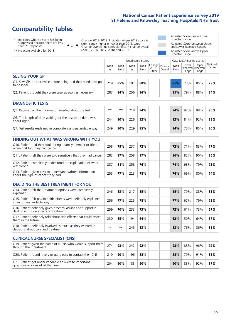# **Comparability Tables**

\* Indicates where a score has been suppressed because there are less than 21 responses.

\*\* No score available for 2018.

 $\triangle$  or  $\nabla$ 

Change 2018-2019: Indicates where 2019 score is significantly higher or lower than 2018 score Change Overall: Indicates significant change overall (2015, 2016, 2017, 2018 and 2019).

Adjusted Score below Lower Expected Range Adjusted Score between Upper and Lower Expected Ranges Adjusted Score above Upper Expected Range

|                                                                             |           |               |           | Case Mix Adjusted Scores<br>Unadjusted Scores |                                             |         |               |                                     |                |                   |
|-----------------------------------------------------------------------------|-----------|---------------|-----------|-----------------------------------------------|---------------------------------------------|---------|---------------|-------------------------------------|----------------|-------------------|
|                                                                             | 2018<br>n | 2018<br>Score | 2019<br>n | 2019<br>Score                                 | $\sim$   Change   Change  <br>2018-<br>2019 | Overall | 2019<br>Score | Lower<br>Expected Expected<br>Range | Upper<br>Range | National<br>Score |
| <b>SEEING YOUR GP</b>                                                       |           |               |           |                                               |                                             |         |               |                                     |                |                   |
| Q1. Saw GP once or twice before being told they needed to go<br>to hospital | 219       | 85%           | 197       | 88%                                           |                                             |         | 85%           | 73%                                 | 85%            | 79%               |
| Q2. Patient thought they were seen as soon as necessary                     | 283       | 84%           | 256       | 86%                                           |                                             |         | 85%           | 79%                                 | 88%            | 84%               |
| <b>DIAGNOSTIC TESTS</b>                                                     |           |               |           |                                               |                                             |         |               |                                     |                |                   |

| <b>UMUNUSIK ILSIS</b>                                                     |      |     |     |     |  |     |     |     |     |
|---------------------------------------------------------------------------|------|-----|-----|-----|--|-----|-----|-----|-----|
| Q5. Received all the information needed about the test                    | $**$ | **  | 218 | 94% |  | 94% | 92% | 98% | 95% |
| Q6. The length of time waiting for the test to be done was<br>about right | 244  | 90% | 226 | 92% |  | 92% | 84% | 92% | 88% |
| Q7. Test results explained in completely understandable way               | 249  | 80% | 229 | 85% |  | 84% | 75% | 85% | 80% |

| <b>FINDING OUT WHAT WAS WRONG WITH YOU</b>                                                      |     |     |     |     |     |     |     |     |
|-------------------------------------------------------------------------------------------------|-----|-----|-----|-----|-----|-----|-----|-----|
| Q10. Patient told they could bring a family member or friend<br>when first told they had cancer | 258 | 75% | 237 | 72% | 72% | 71% | 83% | 77% |
| Q11. Patient felt they were told sensitively that they had cancer                               | 283 | 87% | 258 | 87% | 86% | 82% | 90% | 86% |
| Q12. Patient completely understood the explanation of what<br>was wrong                         | 287 | 81% | 258 | 76% | 74% | 68% | 79% | 73% |
| Q13. Patient given easy to understand written information<br>about the type of cancer they had  | 255 | 77% | 223 | 78% | 76% | 69% | 80% | 74% |

| <b>DECIDING THE BEST TREATMENT FOR YOU</b>                                                              |      |      |     |     |  |     |     |     |     |
|---------------------------------------------------------------------------------------------------------|------|------|-----|-----|--|-----|-----|-----|-----|
| Q14. Patient felt that treatment options were completely<br>explained                                   | 246  | 83%  | 217 | 85% |  | 85% | 79% | 88% | 83% |
| Q15. Patient felt possible side effects were definitely explained<br>in an understandable way           | 256  | 77%  | 225 | 78% |  | 77% | 67% | 79% | 73% |
| Q16. Patient definitely given practical advice and support in<br>dealing with side effects of treatment | 259  | 70%  | 233 | 73% |  | 72% | 61% | 73% | 67% |
| Q17. Patient definitely told about side effects that could affect<br>them in the future                 | 230  | 65%  | 194 | 64% |  | 62% | 50% | 64% | 57% |
| Q18. Patient definitely involved as much as they wanted in<br>decisions about care and treatment        | $**$ | $**$ | 245 | 83% |  | 83% | 76% | 86% | 81% |

| <b>CLINICAL NURSE SPECIALIST (CNS)</b>                                                    |     |     |     |     |     |     |     |     |
|-------------------------------------------------------------------------------------------|-----|-----|-----|-----|-----|-----|-----|-----|
| Q19. Patient given the name of a CNS who would support them<br>through their treatment    | 274 | 93% | 242 | 92% | 93% | 88% | 96% | 92% |
| Q20. Patient found it very or quite easy to contact their CNS                             | 219 | 90% | 196 | 88% | 88% | 79% | 91% | 85% |
| Q21. Patient got understandable answers to important<br>questions all or most of the time | 204 | 90% | 183 | 90% | 90% | 83% | 92% | 87% |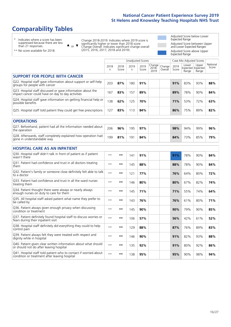# **Comparability Tables**

\* Indicates where a score has been suppressed because there are less than 21 responses.

\*\* No score available for 2018.

 $\triangle$  or  $\nabla$ 

Change 2018-2019: Indicates where 2019 score is significantly higher or lower than 2018 score Change Overall: Indicates significant change overall (2015, 2016, 2017, 2018 and 2019).

Adjusted Score below Lower Expected Range Adjusted Score between Upper and Lower Expected Ranges Adjusted Score above Upper Expected Range

|                                                                                                                   |              |               |            | Unadjusted Scores |                            |                   |               | Case Mix Adjusted Scores            |                |                   |
|-------------------------------------------------------------------------------------------------------------------|--------------|---------------|------------|-------------------|----------------------------|-------------------|---------------|-------------------------------------|----------------|-------------------|
|                                                                                                                   | 2018<br>n.   | 2018<br>Score | 2019<br>n. | 2019<br>Score     | Change<br>$2018 -$<br>2019 | Change<br>Overall | 2019<br>Score | Lower<br>Expected Expected<br>Range | Upper<br>Range | National<br>Score |
| <b>SUPPORT FOR PEOPLE WITH CANCER</b>                                                                             |              |               |            |                   |                            |                   |               |                                     |                |                   |
| Q22. Hospital staff gave information about support or self-help<br>groups for people with cancer                  | 203          | 87%           | 180        | 91%               |                            |                   | 91%           | 83%                                 | 93%            | 88%               |
| Q23. Hospital staff discussed or gave information about the<br>impact cancer could have on day to day activities  | 167          | 83%           | 157        | 89%               |                            |                   | 89%           | 78%                                 | 90%            | 84%               |
| Q24. Hospital staff gave information on getting financial help or<br>possible benefits                            | 138          | 62%           | 125        | 70%               |                            |                   | 71%           | 53%                                 | 72%            | 63%               |
| Q25. Hospital staff told patient they could get free prescriptions                                                | 127          | 83%           | 113        | 84%               |                            |                   | 86%           | 75%                                 | 89%            | 82%               |
| <b>OPERATIONS</b>                                                                                                 |              |               |            |                   |                            |                   |               |                                     |                |                   |
| Q27. Beforehand, patient had all the information needed about<br>the operation                                    | 206          | 96%           | 195        | 97%               |                            |                   | 98%           | 94%                                 | 99%            | 96%               |
| Q28. Afterwards, staff completely explained how operation had<br>gone in understandable way                       | 199          | 81%           | 191        | 84%               |                            |                   | 84%           | 73%                                 | 85%            | 79%               |
| <b>HOSPITAL CARE AS AN INPATIENT</b>                                                                              |              |               |            |                   |                            |                   |               |                                     |                |                   |
| Q30. Hospital staff didn't talk in front of patient as if patient<br>wasn't there                                 | $\star\star$ | **            | 141        | 91%               |                            |                   | 91%           | 78%                                 | 90%            | 84%               |
| Q31. Patient had confidence and trust in all doctors treating<br>them                                             | $\star\star$ | **            | 145        | 88%               |                            |                   | 88%           | 78%                                 | 90%            | 84%               |
| Q32. Patient's family or someone close definitely felt able to talk<br>to a doctor                                | $\star\star$ | **            | 121        | 77%               |                            |                   | 76%           | 64%                                 | 80%            | 72%               |
| Q33. Patient had confidence and trust in all the ward nurses<br>treating them                                     | $**$         | **            | 146        | 80%               |                            |                   | 80%           | 67%                                 | 82%            | 74%               |
| Q34. Patient thought there were always or nearly always<br>enough nurses on duty to care for them                 | $\star\star$ | **            | 145        | 71%               |                            |                   | 71%           | 55%                                 | 74%            | 64%               |
| Q35. All hospital staff asked patient what name they prefer to<br>be called by                                    | $**$         | **            | 143        | 76%               |                            |                   | 76%           | 61%                                 | 80%            | 71%               |
| Q36. Patient always given enough privacy when discussing<br>condition or treatment                                | $\star\star$ | **            | 145        | 90%               |                            |                   | 90%           | 79%                                 | 90%            | 85%               |
| Q37. Patient definitely found hospital staff to discuss worries or<br>fears during their inpatient visit          | $* *$        | **            | 106        | 57%               |                            |                   | 56%           | 42%                                 | 61%            | 52%               |
| Q38. Hospital staff definitely did everything they could to help<br>control pain                                  | $\star\star$ | **            | 129        | 88%               |                            |                   | 87%           | 76%                                 | 89%            | 83%               |
| Q39. Patient always felt they were treated with respect and<br>dignity while in hospital                          | $\star\star$ | **            | 146        | 90%               |                            |                   | 91%           | 82%                                 | 93%            | 88%               |
| Q40. Patient given clear written information about what should<br>or should not do after leaving hospital         | $**$         | **            | 135        | 92%               |                            |                   | 91%           | 80%                                 | 92%            | 86%               |
| Q41. Hospital staff told patient who to contact if worried about<br>condition or treatment after leaving hospital | $**$         | **            | 138        | 95%               |                            |                   | 95%           | 90%                                 | 98%            | 94%               |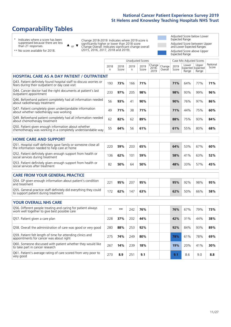# **Comparability Tables**

\* Indicates where a score has been suppressed because there are less than 21 responses.

\*\* No score available for 2018.

 $\triangle$  or  $\nabla$ 

Change 2018-2019: Indicates where 2019 score is significantly higher or lower than 2018 score Change Overall: Indicates significant change overall (2015, 2016, 2017, 2018 and 2019).

Adjusted Score below Lower Expected Range Adjusted Score between Upper and Lower Expected Ranges Adjusted Score above Upper Expected Range

|                                                                                                                       |           |               | <b>Unadjusted Scores</b> |               |                         |                   | Case Mix Adjusted Scores |                                     |                |                   |
|-----------------------------------------------------------------------------------------------------------------------|-----------|---------------|--------------------------|---------------|-------------------------|-------------------|--------------------------|-------------------------------------|----------------|-------------------|
|                                                                                                                       | 2018<br>n | 2018<br>Score | 2019<br>n.               | 2019<br>Score | Change<br>2018-<br>2019 | Change<br>Overall | 2019<br>Score            | Lower<br>Expected Expected<br>Range | Upper<br>Range | National<br>Score |
| <b>HOSPITAL CARE AS A DAY PATIENT / OUTPATIENT</b>                                                                    |           |               |                          |               |                         |                   |                          |                                     |                |                   |
| Q43. Patient definitely found hospital staff to discuss worries or<br>fears during their outpatient or day case visit | 193       | 73%           | 166                      | 71%           |                         |                   | 71%                      | 64%                                 | 77%            | 71%               |
| Q44. Cancer doctor had the right documents at patient's last<br>outpatient appointment                                | 233       | 97%           | 205                      | 98%           |                         |                   | 98%                      | 93%                                 | 99%            | 96%               |
| Q46. Beforehand patient completely had all information needed<br>about radiotherapy treatment                         | 56        | 93%           | 41                       | 90%           |                         |                   | 90%                      | 76%                                 | 97%            | 86%               |
| Q47. Patient completely given understandable information<br>about whether radiotherapy was working                    | 49        | 71%           | 38                       | 71%           |                         |                   | 71%                      | 44%                                 | 75%            | 60%               |
| Q49. Beforehand patient completely had all information needed<br>about chemotherapy treatment                         | 62        | 82%           | 62                       | 89%           |                         |                   | 88%                      | 75%                                 | 93%            | 84%               |
| Q50. Patient given enough information about whether<br>chemotherapy was working in a completely understandable way    | 55        | 64%           | 56                       | 61%           |                         |                   | 61%                      | 55%                                 | 80%            | 68%               |
| <b>HOME CARE AND SUPPORT</b>                                                                                          |           |               |                          |               |                         |                   |                          |                                     |                |                   |
| Q51. Hospital staff definitely gave family or someone close all<br>the information needed to help care at home        | 220       | 59%           | 203                      | 65%           |                         |                   | 64%                      | 53%                                 | 67%            | 60%               |
| Q52. Patient definitely given enough support from health or<br>social services during treatment                       | 136       | 62%           | 101                      | 59%           |                         |                   | 58%                      | 41%                                 | 63%            | 52%               |
| Q53. Patient definitely given enough support from health or<br>social services after treatment                        | 82        | 50%           | 64                       | 50%           |                         |                   | 48%                      | 33%                                 | 57%            | 45%               |
| CARE FROM YOUR GENERAL PRACTICE                                                                                       |           |               |                          |               |                         |                   |                          |                                     |                |                   |
| Q54. GP given enough information about patient's condition<br>and treatment                                           | 221       | 95%           | 207                      | 95%           |                         |                   | 95%                      | 92%                                 | 98%            | 95%               |
| Q55. General practice staff definitely did everything they could<br>to support patient during treatment               | 172       | 62%           | 147                      | 63%           |                         |                   | 62%                      | 50%                                 | 66%            | 58%               |
|                                                                                                                       |           |               |                          |               |                         |                   |                          |                                     |                |                   |
| <b>YOUR OVERALL NHS CARE</b><br>Q56. Different people treating and caring for patient always                          |           |               |                          |               |                         |                   |                          |                                     |                |                   |
| work well together to give best possible care                                                                         | $* *$     | $***$         | 242                      | 76%           |                         |                   | 76%                      | 67%                                 | 79%            | 73%               |
| Q57. Patient given a care plan                                                                                        | 228       | 37%           | 202                      | 44%           |                         |                   | 42%                      | 31%                                 | 44%            | 38%               |
| Q58. Overall the administration of care was good or very good                                                         | 280       | 88%           | 253                      | 92%           |                         |                   | 92%                      | 84%                                 | 93%            | 89%               |
| Q59. Patient felt length of time for attending clinics and<br>appointments for cancer was about right                 | 275       | 74%           | 249                      | 80%           |                         |                   | 78%                      | 61%                                 | 78%            | 69%               |
| Q60. Someone discussed with patient whether they would like<br>to take part in cancer research                        | 267       | 14%           | 239                      | 18%           |                         |                   | 19%                      | 20%                                 | 41%            | 30%               |
| Q61. Patient's average rating of care scored from very poor to<br>very good                                           | 273       | 8.9           | 251                      | 9.1           |                         |                   | 9.1                      | 8.6                                 | 9.0            | 8.8               |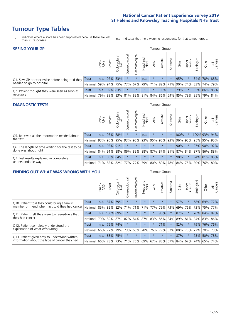# **Tumour Type Tables**

- \* Indicates where a score has been suppressed because there are less than 21 responses.
- n.a. Indicates that there were no respondents for that tumour group.

| <b>SEEING YOUR GP</b>                           |              |       |               |                   |                    |                |                  |          | Tumour Group                                        |         |                         |                 |                |             |                |
|-------------------------------------------------|--------------|-------|---------------|-------------------|--------------------|----------------|------------------|----------|-----------------------------------------------------|---------|-------------------------|-----------------|----------------|-------------|----------------|
|                                                 |              | Brain | <b>Breast</b> | Colorectal<br>LGT | ᠊ᢛ<br>Gynaecologic | Haematological | Head and<br>Neck | Lung     | Prostate                                            | Sarcoma | Skin                    | Upper<br>Gastro | —<br>Irologica | Other       | All<br>Cancers |
| Q1. Saw GP once or twice before being told they | <b>Trust</b> | n.a.  |               | 97% 83%           | $\star$            | $\star$        | n.a.             | $\star$  | $\star$                                             |         | 95%                     |                 |                | 84% 78% 88% |                |
| needed to go to hospital                        | National     | 59%   |               | 94% 75%           | 77%                |                |                  |          | 67% 79% 71% 82%                                     |         | 71% 90% 74% 83% 74% 79% |                 |                |             |                |
| Q2. Patient thought they were seen as soon as   | Trust        | n.a.  |               | 92% 83%           | $\star$            | $\star$        | $\star$          | $^\star$ | 100%                                                |         | 79%                     |                 |                | 85% 86% 86% |                |
| necessary                                       | National     | 79%   |               |                   |                    |                |                  |          | 89% 83% 81% 82% 81% 84% 86% 69% 85% 79% 85% 79% 84% |         |                         |                 |                |             |                |

#### **DIAGNOSTIC TESTS** Tumour Group

|                                                   |                                                                  | Brain | <b>Breast</b> | Colorectal<br>LGT | ᠊ᢛ<br>Gynaecologic | Haematological | Head and<br>Neck | Lung    | Prostate            | Sarcoma | Skin | Upper<br>Gastro | rological                                   | Other        | All<br>Cancers |
|---------------------------------------------------|------------------------------------------------------------------|-------|---------------|-------------------|--------------------|----------------|------------------|---------|---------------------|---------|------|-----------------|---------------------------------------------|--------------|----------------|
| Q5. Received all the information needed about     | <b>Trust</b>                                                     | n.a.  | 95%           | 88%               | $\star$            | $\star$        | n.a.             | $\star$ | $\star$             | $\ast$  | 100% |                 |                                             | 100% 93% 94% |                |
| the test                                          | National                                                         | 93%   |               | 95% 95%           | 93%                |                |                  |         | 95% 93% 95% 95% 93% |         | 96%  | 95%             |                                             | 95% 95% 95%  |                |
| Q6. The length of time waiting for the test to be | Trust                                                            | n.a.  | 93% 91%       |                   | $\star$            | $\star$        | $\star$          | $\star$ | $\star$             | $\star$ | 90%  | $\star$         | 97%                                         | 90% 92%      |                |
| done was about right                              | National I                                                       |       | 84% 91% 88%   |                   |                    |                |                  |         |                     |         |      |                 | 86% 89% 88% 87% 87% 81% 87% 84% 87% 86% 88% |              |                |
| Q7. Test results explained in completely          | Trust                                                            | n.a.  |               | 86% 84%           | $\star$            | $\star$        | $\star$          | $\star$ | $\star$             | $\star$ | 90%  |                 |                                             | 94% 81% 85%  |                |
| understandable way                                | National 71% 83% 82% 77% 77% 79% 80% 80% 78% 84% 75% 80% 76% 80% |       |               |                   |                    |                |                  |         |                     |         |      |                 |                                             |              |                |

| <b>FINDING OUT WHAT WAS WRONG WITH YOU</b>        |              |       |               |                        |                |                |                  |         | Tumour Group |         |      |                 |            |             |                |
|---------------------------------------------------|--------------|-------|---------------|------------------------|----------------|----------------|------------------|---------|--------------|---------|------|-----------------|------------|-------------|----------------|
|                                                   |              | Brain | <b>Breast</b> | olorectal.<br>LGT<br>Ū | Gynaecological | Haematological | Head and<br>Neck | Lung    | Prostate     | Sarcoma | Skin | Upper<br>Gastro | Urological | Other       | All<br>Cancers |
| Q10. Patient told they could bring a family       | <b>Trust</b> | n.a.  | 87%           | 79%                    | $\star$        | $\star$        | $\star$          | $\star$ | $\star$      | $\star$ | 57%  | $\star$         | 68%        | 69%         | 72%            |
| member or friend when first told they had cancer  | National     | 85%   | 82%           | 82%                    | 71%            | 71%            | 71%              | 77%     | 79%          | 73%     | 69%  | 76%             | 73%        |             | 75% 77%        |
| Q11. Patient felt they were told sensitively that | Trust        | n.a.  | 100% 89%      |                        | $\star$        | $\star$        | $\star$          | $\star$ | 90%          | $\star$ | 87%  | $\star$         |            | 76% 84% 87% |                |
| they had cancer                                   | National     | 79%   | 89% 87%       |                        | 82%            | 84% 87% 83%    |                  |         | 86% 84%      |         |      | 89% 81%         |            | 84% 83% 86% |                |
| Q12. Patient completely understood the            | Trust        | n.a.  | 79%           | 74%                    | $\star$        | $\star$        | $\star$          | $\star$ | 71%          | $\star$ | 82%  |                 | 79%        |             | 76% 76%        |
| explanation of what was wrong                     | National     | 66%   | 77%           | 79%                    | 73%            | 60%            | 78%              | 76%     | 79%          | 67%     | 80%  | 70%             | 77%        |             | 70% 73%        |
| Q13. Patient given easy to understand written     | Trust        | n.a.  | 88% 75%       |                        | $\star$        |                | $\star$          | $\star$ | $\star$      | $\star$ | 87%  | $\star$         |            | 73% 50%     | 78%            |
| information about the type of cancer they had     | National     | 66%   | 78%           | 73%                    | 71%            | 76%            | 69%              | 67% 83% |              | 67%     | 84%  | 67%             | 74%        | 65%         | 74%            |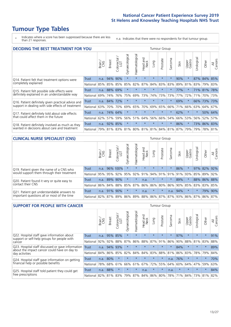# **Tumour Type Tables**

\* Indicates where a score has been suppressed because there are less than 21 responses.

n.a. Indicates that there were no respondents for that tumour group.

| <b>DECIDING THE BEST TREATMENT FOR YOU</b>         |          |       |               |                             |                |                |                         |         | <b>Tumour Group</b> |                                         |      |                 |            |         |                |
|----------------------------------------------------|----------|-------|---------------|-----------------------------|----------------|----------------|-------------------------|---------|---------------------|-----------------------------------------|------|-----------------|------------|---------|----------------|
|                                                    |          | Brain | <b>Breast</b> | olorectal.<br>LGT<br>$\cup$ | Gynaecological | Haematological | ead and<br>Neck<br>Head | Lung    | Prostate            | Sarcoma                                 | Skin | Upper<br>Gastro | Jrological | Other   | All<br>Cancers |
| Q14. Patient felt that treatment options were      | Trust    | n.a.  | 94%           | 90%                         | $\star$        | $\star$        | $\star$                 | $\star$ | $\star$             | $\star$                                 | 90%  | $\star$         | 87%        | 84%     | 85%            |
| completely explained                               | National | 85%   | 85%           | 85%                         | 85%            | 82%            | 87%                     | 84%     | 83%                 | 83%                                     | 89%  | 81%             |            | 83% 79% | 83%            |
| Q15. Patient felt possible side effects were       | Trust    | n.a.  |               | 88% 69%                     | $\star$        |                | $\star$                 | $\star$ | $\star$             | $\star$                                 | 77%  | $\star$         |            | 71% 81% | 78%            |
| definitely explained in an understandable way      | National | 69%   | 74%           | 76%                         | 75%            | 69%            | 73%                     | 74%     | 73%                 | 73%                                     | 77%  | 72%             | 71%        | 70%     | 73%            |
| Q16. Patient definitely given practical advice and | Trust    | n.a.  | 84%           | 72%                         | $\star$        | $\star$        | $\star$                 | $\star$ | $\star$             | $\star$                                 | 69%  | $\star$         |            | 66% 73% | 73%            |
| support in dealing with side effects of treatment  | National | 63%   | 70%           | 70%                         | 69%            | 65%            | 70%                     | 69%     | 65%                 | 66%                                     | 71%  | 66%             | 63%        | 64%     | 67%            |
| Q17. Patient definitely told about side effects    | Trust    | n.a.  | 74%           | 64%                         | $\star$        | $\star$        | $\star$                 | $\star$ | $\star$             | $\star$                                 | 62%  | $\star$         | $\star$    | $50\%$  | 64%            |
| that could affect them in the future               | National | 62%   | 57%           | 59%                         | 56%            | 51%            | 64%                     | 56%     | 66%                 | 54%                                     | 66%  | 53%             | 56%        | 52%     | 57%            |
| Q18. Patient definitely involved as much as they   | Trust    | n.a.  | 92%           | 85%                         | $\star$        | $\star$        | $\star$                 | $\star$ | $\star$             | $\star$                                 | 86%  | $\star$         | 73%        | 86%     | 83%            |
| wanted in decisions about care and treatment       | National | 79%   |               |                             |                |                |                         |         |                     | 81% 83% 81% 80% 81% 81% 84% 81% 87% 79% |      |                 | 79%        | 78% 81% |                |

#### **CLINICAL NURSE SPECIALIST (CNS)** Tumour Group

|                                             |                  | Brain | <b>Breast</b> | olorectal<br>LGT<br>Û | त्त<br>aecologic<br>ĞĔ | ক<br>aematologic<br>Í | Head and<br>Neck                  | Lung        | Prostate | Sarcoma | Skin    | Upper<br>Gastro | $\overline{\sigma}$<br>rologica | Other       | All<br>Cancers |
|---------------------------------------------|------------------|-------|---------------|-----------------------|------------------------|-----------------------|-----------------------------------|-------------|----------|---------|---------|-----------------|---------------------------------|-------------|----------------|
| Q19. Patient given the name of a CNS who    | <b>Trust</b>     | n.a.  |               | 96% 100%              |                        |                       | $\star$                           | $\star$     | $\star$  | $\star$ | 86%     |                 |                                 | 97% 82% 92% |                |
| would support them through their treatment  | National         | 95%   | 95%           | 92%                   | 95%                    | 92%                   | 91%                               | 94% 91% 91% |          |         | 91% 93% |                 | 85%                             | 89%         | 92%            |
| Q20. Patient found it very or quite easy to | Trust            | n.a.  | 89%           | 90%                   |                        | $\star$               | n.a.                              | $\star$     | $\star$  | $\star$ | 89%     |                 |                                 | 88% 86% 88% |                |
| contact their CNS                           | National         |       |               | 86% 84% 88%           | 85%                    | 87%                   | 86%                               | 86% 80%     |          |         |         | 86% 90% 85%     |                                 | 83% 83%     | 85%            |
| Q21. Patient got understandable answers to  | Trust            | n.a.  | 91%           | 90%                   | $\star$                | $\star$               | n.a.                              | $\star$     | $\star$  | n.a.    | 94%     | $\star$         | $\star$                         | 79%         | 90%            |
| important questions all or most of the time | National 82% 87% |       |               | 89%                   | 86%                    |                       | 89%   88%   86%   87%   87%   93% |             |          |         |         | $ 86\% $        | 87%                             | 86%         | 87%            |

| <b>SUPPORT FOR PEOPLE WITH CANCER</b>                                                             |              |       |               |            |                |                |                         |         | Tumour Group |              |         |                 |            |         |                |
|---------------------------------------------------------------------------------------------------|--------------|-------|---------------|------------|----------------|----------------|-------------------------|---------|--------------|--------------|---------|-----------------|------------|---------|----------------|
|                                                                                                   |              | Brain | <b>Breast</b> | Colorectal | Gynaecological | Haematological | ead and<br>Neck<br>Head | Fung    | Prostate     | arcoma<br>ιñ | Skin    | Upper<br>Gastro | Urological | Other   | All<br>Cancers |
| Q22. Hospital staff gave information about<br>support or self-help groups for people with         | <b>Trust</b> | n.a.  | 95%           | 85%        | $\star$        | $\star$        | $\star$                 | $\star$ | $\star$      | $\star$      | 97%     | $\star$         | $\star$    | $\star$ | 91%            |
| cancer                                                                                            | National     | 92%   | 92%           | 88%        | 87%            | 86%            | 88%                     | 87%     | 91%          | 86%          | 90%     | 88%             | 81%        | 83%     | 88%            |
| Q23. Hospital staff discussed or gave information<br>about the impact cancer could have on day to | <b>Trust</b> | n.a.  | 94%           | 93%        | $\star$        | $\star$        | $\star$                 | $\star$ | $\star$      | $\star$      | 84%     | $\star$         | $\star$    | $\star$ | 89%            |
| day activities                                                                                    | National     | 84%   |               | 86% 85%    | 82%            | 84%            | 84%                     | 83%     | 88%          | 81%          | 86%     | 83%             | 78%        | 79%     | 84%            |
| Q24. Hospital staff gave information on getting                                                   | Trust        | n.a.  | 80%           | $\star$    | $\star$        | $\star$        | $\star$                 | $\star$ | $\star$      | n.a.         | 76%     | $\star$         | $\star$    | $\star$ | 70%            |
| financial help or possible benefits                                                               | National     | 78%   | 68%           | 61%        | 66%            | 61%            | 67%                     | 72%     | 55%          | 64%          | 60%     | 64%             | 47%        | 59%     | 63%            |
| Q25. Hospital staff told patient they could get                                                   | Trust        | n.a.  | 88%           | $\star$    | $\star$        | $\star$        | n.a.                    | $\star$ | $\star$      | n.a.         | $\star$ | $\star$         | $\star$    | $\star$ | 84%            |
| free prescriptions                                                                                | National     | 82%   | 81%           | 83%        | 79%            | 87%            | 84%                     | 86%     | 80%          | 78%          | 71%     | 84%             | 73%        | 81%     | 82%            |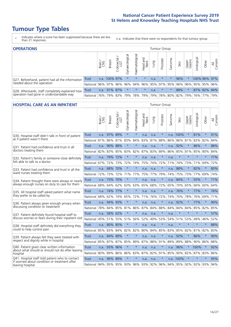# **Tumour Type Tables**

- \* Indicates where a score has been suppressed because there are less than 21 responses.
- n.a. Indicates that there were no respondents for that tumour group.

| <b>OPERATIONS</b>                                |          |       |               |            |                   |                |                     |      | Tumour Group |         |                             |                 |                                  |              |                |
|--------------------------------------------------|----------|-------|---------------|------------|-------------------|----------------|---------------------|------|--------------|---------|-----------------------------|-----------------|----------------------------------|--------------|----------------|
|                                                  |          | Brain | <b>Breast</b> | Colorectal | ল<br>Gynaecologic | Haematological | Head and<br>Neck    | Lung | Prostate     | Sarcoma | Skin                        | Upper<br>Gastro | $\overline{\sigma}$<br>Jrologica | Other        | All<br>Cancers |
| Q27. Beforehand, patient had all the information | Trust    |       | n.a. 100% 97% |            | $\star$           | $\star$        | $\star$             | n.a. | $\star$      |         | 96%                         |                 |                                  | 100% 96% 97% |                |
| needed about the operation                       | National | 96%   | 97% 96%       |            | 96%               | 94%            | 96% 95% 97% 95% 96% |      |              |         |                             | $96\%$          |                                  | 95% 95% 96%  |                |
| Q28. Afterwards, staff completely explained how  | Trust    | n.a.  | 91% 87%       |            | $\star$           | $\star$        | $\star$             | n.a. | $\star$      | $\star$ | 88%                         | $\star$         |                                  | 87% 82% 84%  |                |
| operation had gone in understandable way         | National | 76%   |               | 79% 83%    |                   |                | 79% 78% 79%         |      |              |         | 79%   78%   80%   82%   79% |                 |                                  | 76%   77%    | 79%            |

#### **HOSPITAL CARE AS AN INPATIENT** Tumour Group

|                                                                                                   |                              | Brain | Breast       | Colorectal /<br>LGT | Gynaecological | Haematological | Head and<br>Neck | Lung        | Prostate | Sarcoma | Skin      | Upper<br>Gastro | Urological              | Other   | Cancers<br>$\overline{\overline{z}}$ |
|---------------------------------------------------------------------------------------------------|------------------------------|-------|--------------|---------------------|----------------|----------------|------------------|-------------|----------|---------|-----------|-----------------|-------------------------|---------|--------------------------------------|
| Q30. Hospital staff didn't talk in front of patient                                               | Trust                        | n.a.  | 97%          | 89%                 | $\star$        | $\star$        | n.a.             | n.a.        | $\star$  | n.a.    | 100%      | $\star$         | 81%                     | $\star$ | 91%                                  |
| as if patient wasn't there                                                                        | National                     | 81%   | 86%          | 81%                 | 83%            | 84%            | 83%              | 81%         | 88%      | 86%     | 86%       | 81%             | 83%                     | 82%     | 84%                                  |
| O31. Patient had confidence and trust in all                                                      | Trust                        | n.a.  | 90% 88%      |                     | $\star$        | $\star$        | n.a.             | n.a.        | $\star$  | n.a.    | 92%       | $\star$         | 86%                     | $\star$ | 88%                                  |
| doctors treating them                                                                             | National                     | 82%   | 83%          | 85%                 | 83%            | 82%            | 87%              | 83%         | 89%      | 86%     | 85%       | 81%             | 85%                     | 80%     | 84%                                  |
| Q32. Patient's family or someone close definitely                                                 | <b>Trust</b>                 | n.a.  | 79% 72%      |                     |                | $\star$        | n.a.             | n.a.        | $\star$  | n.a.    | $\star$   |                 | $\star$                 | $\star$ | 77%                                  |
| felt able to talk to a doctor                                                                     | National                     | 67%   | 72%          | 73%                 | 72%            | 74%            | 75%              | 74%         | 72%      | 71%     | 74%       | 73%             | 71%                     | 69%     | 72%                                  |
| O33. Patient had confidence and trust in all the<br>ward nurses treating them                     | <b>Trust</b>                 | n.a.  | 68%          | 70%                 |                | $\star$        | n.a.             | n.a.        | $\star$  | n.a.    | 88%       |                 | 82%                     | $\star$ | 80%                                  |
|                                                                                                   | National                     | 72%   | 73%          | 72%                 |                | 71% 77%        | 75%              | 77%         | 79%      | 74%     | 75%       | 73%             | 77%                     | 69%     | 74%                                  |
| Q34. Patient thought there were always or nearly<br>always enough nurses on duty to care for them | <b>Trust</b>                 | n.a.  | 73%          | 70%                 |                | $\star$        | n.a.             | n.a.        | $\star$  | n.a.    | 84%       | $\star$         | 55%                     | $\star$ | 71%                                  |
|                                                                                                   | National                     | 68%   | 64%          | 62%                 | 63% 63%        |                | 65%              | 68%         | 72%      | 65%     | 70%       | 65%             | 66%                     | 60%     | 64%                                  |
| Q35. All hospital staff asked patient what name<br>they prefer to be called by                    | Trust                        | n.a.  | 74% 77%      |                     |                | $\star$        | n.a.             | n.a.        | $\star$  | n.a.    | 76%       | $\star$         | 77%                     | $\star$ | 76%                                  |
|                                                                                                   | National                     | 68%   | 62%          | 74%                 | 65%            | 72%            | 71%              | 76%         | 72%      | 74%     | 70%       | 78%             | 76%                     | 69%     | 71%                                  |
| Q36. Patient always given enough privacy when                                                     | <b>Trust</b>                 | n.a.  | 94%          | 93%                 |                | $\star$        | n.a.             | n.a.        | $\star$  | n.a.    | 92%       |                 | 77%                     | $\star$ | 90%                                  |
| discussing condition or treatment                                                                 | National                     | 78%   |              | 84% 85%             | 81%            | 86%            | 87%              | 84%         | 88%      | 84%     | 84%       | 84%             | 85%                     | 82%     | 85%                                  |
| Q37. Patient definitely found hospital staff to                                                   | <b>Trust</b>                 | n.a.  | 58%          | 62%                 |                | $\star$        | n.a.             | n.a.        | $\star$  | n.a.    | $\star$   | $\star$         | $\star$                 | $\star$ | 57%                                  |
| discuss worries or fears during their inpatient visit                                             | National                     | 45%   |              | 51% 55%             |                | 51% 56%        | 52%              | 49%         | 53%      | 54%     | 51%       |                 | 53% 49%                 | 46%     | 52%                                  |
| Q38. Hospital staff definitely did everything they                                                | <b>Trust</b>                 |       | n.a. 80% 85% |                     | $\star$        | $\star$        | n.a.             | n.a.        | $\star$  | n.a.    | $\star$   | $\star$         | $\star$                 | $\star$ | 88%                                  |
| could to help control pain                                                                        | National                     | 85%   | 83%          | 84%                 | 82%            | 82%            | 80%              | 84%         | 85%      | 83%     |           | 85% 82%         | 81%                     | 82%     | 83%                                  |
| Q39. Patient always felt they were treated with                                                   | <b>Trust</b>                 | n.a.  | 84% 89%      |                     |                | $\star$        | n.a.             | n.a.        | $\star$  | n.a.    | 92%       |                 | 86%                     | $\star$ | 90%                                  |
| respect and dignity while in hospital                                                             | National                     | 85%   | 87%          | 87%                 | 85%            | 89%            | 87%              | 88%         | 91%      | 89%     | 89%       | 88%             | 90%                     | 86%     | 88%                                  |
| Q40. Patient given clear written information<br>about what should or should not do after leaving  | <b>Trust</b>                 | n.a.  | 93%          | 96%                 |                | $\star$        | n.a.             | n.a.        | $\star$  | n.a.    | 96%       |                 | 100%                    | $\star$ | 92%                                  |
| hospital                                                                                          | National                     | 80%   | 89%          | 86%                 | 86%            | 83%            | 87%              | 82%         | 91%      | 85%     | 90% 82%   |                 | 87%                     | 83%     | 86%                                  |
| Q41. Hospital staff told patient who to contact<br>if worried about condition or treatment after  | <b>Trust</b>                 | n.a.  | 96% 89%      |                     | $\star$        | $\star$        | n.a.             | n.a.        | $\star$  |         | n.a. 100% | $\star$         | $\star$                 | $\star$ | 95%                                  |
| leaving hospital                                                                                  | National 94% 95% 95% 93% 96% |       |              |                     |                |                |                  | 93% 92% 96% |          |         |           |                 | 94% 95% 92% 92% 93% 94% |         |                                      |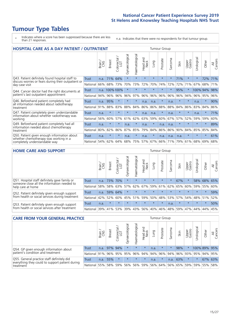# **Tumour Type Tables**

\* Indicates where a score has been suppressed because there are less than 21 responses.

n.a. Indicates that there were no respondents for that tumour group.

| <b>HOSPITAL CARE AS A DAY PATIENT / OUTPATIENT</b>                                                                    |              |       |               |                               |                |                       |                         |         | <b>Tumour Group</b> |             |         |                 |            |         |                |  |  |
|-----------------------------------------------------------------------------------------------------------------------|--------------|-------|---------------|-------------------------------|----------------|-----------------------|-------------------------|---------|---------------------|-------------|---------|-----------------|------------|---------|----------------|--|--|
|                                                                                                                       |              | Brain | <b>Breast</b> | colorectal /<br>LGT<br>$\cup$ | Gynaecological | <b>Haematological</b> | aad and<br>Neck<br>Head | Lung    | Prostate            | arcoma<br>S | Skin    | Upper<br>Gastro | Jrological | Other   | All<br>Cancers |  |  |
| Q43. Patient definitely found hospital staff to                                                                       | <b>Trust</b> | n.a.  | 71%           | 64%                           | $\star$        | $\star$               | $\star$                 | $\star$ | $\star$             | $\star$     | 71%     | $\star$         | $^\star$   | 72%     | 71%            |  |  |
| discuss worries or fears during their outpatient or<br>day case visit                                                 | National     | 66%   | 68%           | 73%                           | 70%            | 73%                   | 72%                     | 70%     | 74%                 | 72%         | 72%     | 71%             | 67%        | 68%     | 71%            |  |  |
| Q44. Cancer doctor had the right documents at<br>patient's last outpatient appointment                                | Trust        | n.a.  | 100%100%      |                               | $\star$        | $\star$               | $\star$                 | $\star$ | $\star$             | $\star$     | 95%     | $\star$         | 100% 94%   |         | 98%            |  |  |
|                                                                                                                       | National     | 94%   | 96%           | 96%                           | 96%            | 97%                   | 96%                     | 96%     | 96%                 | 96%         | 96%     | 94%             | 96%        | 95%     | 96%            |  |  |
| Q46. Beforehand patient completely had<br>all information needed about radiotherapy                                   | Trust        | n.a.  | 95%           | $\star$                       | $\star$        | $\star$               | n.a.                    | n.a.    | $\star$             | n.a.        |         | $\star$         | n.a.       | $\star$ | 90%            |  |  |
| treatment                                                                                                             | National     | 91%   | 88%           | 83%                           | 88%            | 84%                   | 86%                     | 86%     | 88%                 | 88%         | 84%     | 86%             | 83%        | 84%     | 86%            |  |  |
| Q47. Patient completely given understandable                                                                          | Trust        | n.a.  | $\star$       | $\star$                       | $\star$        | $\star$               | n.a.                    | n.a.    | $\star$             | n.a.        | $\star$ | $\star$         | n.a.       | $\star$ | 71%            |  |  |
| information about whether radiotherapy was<br>working                                                                 | National     | 56%   | 60%           | 57%                           | 61%            | 62%                   | 63%                     | 59%     | 60%                 | 67%         | 57%     | 52%             | 59%        | 59%     | 60%            |  |  |
| Q49. Beforehand patient completely had all                                                                            | Trust        | n.a.  | $\star$       | $\star$                       | n.a.           | $\star$               | n.a.                    | $\star$ | n.a.                | n.a.        | $\star$ | $\star$         | $\star$    | $\star$ | 89%            |  |  |
| information needed about chemotherapy<br>treatment                                                                    | National     | 80%   | 82%           | 86%                           | 87%            | 85%                   | 79%                     | 84%     | 86%                 | 86%         | 90%     | 84%             | 85%        | 85%     | 84%            |  |  |
| Q50. Patient given enough information about<br>whether chemotherapy was working in a<br>completely understandable way | Trust        | n.a.  | $\star$       | $\star$                       | n.a.           | $\star$               | n.a.                    | $\star$ | n.a.                | n.a.        | n.a.    | $\star$         | $\star$    | $\star$ | 61%            |  |  |
|                                                                                                                       | National     | 54%   | 62%           | 64%                           | 68%            | 75%                   | 57%                     | 67%     | 66%                 | 71%         | 79%     | 61%             | 68%        | 69%     | 68%            |  |  |

#### **HOME CARE AND SUPPORT** Tumour Group

|                                                                                                                   |              | Brain | <b>Breast</b> | olorectal<br>LGT<br>Ü | ᢛ<br>Gynaecologic | Haematological | ad and<br>Neck<br>Head | <b>Dung</b> | Prostate | Sarcoma | Skin    | Upper<br>Gastro | Irological  | Other       | All<br>Cancers |
|-------------------------------------------------------------------------------------------------------------------|--------------|-------|---------------|-----------------------|-------------------|----------------|------------------------|-------------|----------|---------|---------|-----------------|-------------|-------------|----------------|
| Q51. Hospital staff definitely gave family or<br>someone close all the information needed to<br>help care at home | <b>Trust</b> | n.a.  |               | 73% 70%               | $\star$           | $\star$        | $\star$                | $\star$     | $\star$  | $\star$ | 67%     | $\star$         |             | 58% 68% 65% |                |
|                                                                                                                   | National     | 58%   | 58%           | 63%                   | 57%               |                | 62% 67%                |             | 59% 61%  |         | 62% 65% | 60%             |             | 59% 55%     | 60%            |
| Q52. Patient definitely given enough support<br>from health or social services during treatment                   | Trust        | n.a.  |               | 59% 64%               | $\star$           | $\star$        | $\star$                | $\star$     | $\star$  |         | $\star$ | $\star$         | $\star$     | $\star$     | 59%            |
|                                                                                                                   | National     | 42%   | 52%           | 60%                   |                   | 45% 51%        | 59%                    | 50%         | 48%      |         | 53% 57% |                 | 54% 48% 51% |             | 52%            |
| Q53. Patient definitely given enough support<br>from health or social services after treatment                    | Trust        | n.a.  | $\star$       | $\star$               | $\star$           |                | $\star$                | $\star$     | $\star$  | n.a.    | $\star$ | $\star$         | $\star$     | $\star$     | 50%            |
|                                                                                                                   | National l   | 39%   | 41% 53%       |                       | 39%               | $ 43\% $       | 56%                    | 40%         | 46%      | 48%     | 59%     | 47%             | 44%         | 44%         | 45%            |

| <b>CARE FROM YOUR GENERAL PRACTICE</b>                                                                     |              |        |               |                   |                | Tumour Group   |                  |      |          |         |      |                 |                                         |         |                |
|------------------------------------------------------------------------------------------------------------|--------------|--------|---------------|-------------------|----------------|----------------|------------------|------|----------|---------|------|-----------------|-----------------------------------------|---------|----------------|
|                                                                                                            |              | Brain, | <b>Breast</b> | Colorectal<br>LGT | Gynaecological | Haematological | Head and<br>Neck | Lung | Prostate | Sarcoma | Skin | Upper<br>Gastro | Urologica                               | Other   | All<br>Cancers |
| Q54. GP given enough information about<br>patient's condition and treatment                                | Trust        | n.a.   |               | 97% 94%           | $\star$        | $\star$        | $\star$          | n.a. | $\star$  |         | 98%  | $\star$         | 100% 89% 95%                            |         |                |
|                                                                                                            | National 91% |        |               | 96% 95%           | 95%            |                |                  |      |          |         |      |                 | 96% 94% 94% 96% 94% 96% 93% 95% 94% 95% |         |                |
| Q55. General practice staff definitely did<br>everything they could to support patient during<br>treatment | <b>Trust</b> | n.a.   | 55%           | $\star$           | $\star$        | $\star$        | $\star$          | n.a. | $\star$  | n.a.    | 63%  | $\star$         | $\star$                                 | 67% 63% |                |
|                                                                                                            | National     | 55%    |               | 58% 59%           | 56%            |                | 56% 59%          |      |          |         |      |                 | 56% 64% 56% 65% 59% 59% 55%             |         | 58%            |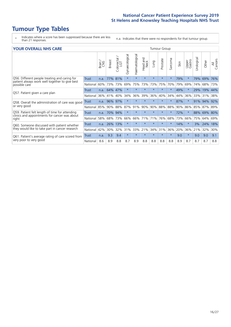# **Tumour Type Tables**

- \* Indicates where a score has been suppressed because there are less than 21 responses.
- n.a. Indicates that there were no respondents for that tumour group.

#### **YOUR OVERALL NHS CARE TUMOUR OVERALL NHS** CARE

|                                                                                                                  |              | Brain<br>CNS | <b>Breast</b> | olorectal<br>LGT<br>Ü | Gynaecological | Haematological | Head and<br>Neck | Lung    | Prostate | arcoma<br>ιñ | Skin | Upper<br>Gastro | Urological | Other       | All<br>Cancers |
|------------------------------------------------------------------------------------------------------------------|--------------|--------------|---------------|-----------------------|----------------|----------------|------------------|---------|----------|--------------|------|-----------------|------------|-------------|----------------|
| Q56. Different people treating and caring for<br>patient always work well together to give best<br>possible care | Trust        | n.a.         | 77%           | 81%                   | $\star$        | $\star$        | $\star$          | $\star$ | $\star$  | $\star$      | 79%  | $\star$         | 79%        | 69%         | 76%            |
|                                                                                                                  | National     | 60%          | 73%           | 73%                   | 69%            | 75%            | 73%              | 73%     | 75%      | 70%          | 79%  | 69%             | 74%        | 68%         | 73%            |
| Q57. Patient given a care plan                                                                                   | <b>Trust</b> | n.a.         | 64%           | 47%                   | $\star$        |                | $\star$          | $\star$ | $\star$  | $\ast$       | 49%  |                 | 29%        | 19%         | 44%            |
|                                                                                                                  | National     | 36%          | 41%           | 40%                   | 34%            | 36%            | 39%              | 36%     | 40%      | 34%          | 44%  | 36%             | 33%        | 31%         | 38%            |
| Q58. Overall the administration of care was good                                                                 | Trust        | n.a.         | 96%           | 97%                   | $\star$        |                |                  | $\star$ | $\star$  | $\star$      | 87%  |                 | 91%        | 94%         | 92%            |
| or very good                                                                                                     | National     | 85%          | 90%           | 88%                   | 87%            | 91%            | 90%              | 90%     | 88%      | 88%          | 90%  | 86%             |            | 85% 87% 89% |                |
| Q59. Patient felt length of time for attending<br>clinics and appointments for cancer was about                  | <b>Trust</b> | n.a.         | 70%           | 94%                   | $\star$        |                | $\star$          | $\star$ | $\star$  | $\star$      | 72%  |                 | 88%        | 69% 80%     |                |
| right                                                                                                            | National     | 58%          | 68%           | 73%                   | 66%            | 66%            | 71%              | 71%     | 76%      | 68%          | 73%  | 66%             | 75%        | 64%         | 69%            |
| Q60. Someone discussed with patient whether                                                                      | <b>Trust</b> | n.a.         | 26%           | 13%                   | $\star$        |                | $\star$          | $\star$ | $\star$  | $\star$      | 14%  | $\star$         | 3%         | 24%         | 18%            |
| they would like to take part in cancer research                                                                  | National     | 42%          | 30%           | 32%                   | 31%            | 33%            | 21%              | 34% 31% |          | 36%          | 20%  | 36%             | 21%        | 32%         | 30%            |
| Q61. Patient's average rating of care scored from<br>very poor to very good                                      | Trust        | n.a.         | 9.3           | 9.4                   | $\star$        | $\star$        | $\star$          | $\star$ | $\star$  | $\star$      | 9.0  | $\star$         | 9.0        | 9.0         | 9.1            |
|                                                                                                                  | National     | 8.6          | 8.9           | 8.8                   | 8.7            | 8.9            | 8.8              | 8.8     | 8.8      | 8.8          | 8.9  | 8.7             | 8.7        | 8.7         | 8.8            |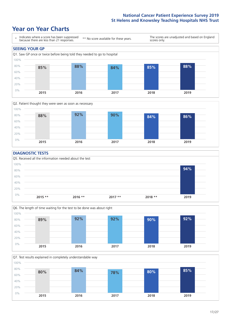### **Year on Year Charts**





#### **DIAGNOSTIC TESTS**





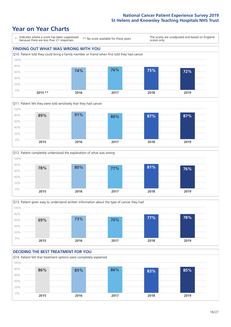







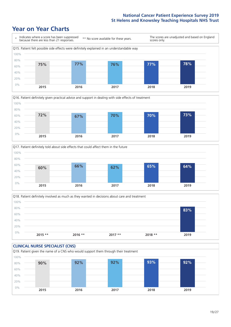







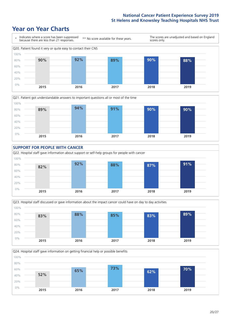### **Year on Year Charts**









Q24. Hospital staff gave information on getting financial help or possible benefits 0% 20% 40% 60% 80% 100% **2015 2016 2017 2018 2019 52% 65% 73% 62% 70%**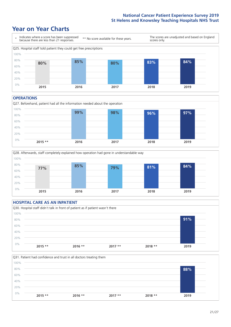### **Year on Year Charts**



#### **OPERATIONS**





#### **HOSPITAL CARE AS AN INPATIENT** Q30. Hospital staff didn't talk in front of patient as if patient wasn't there 0% 20% 40% 60% 80% 100% **2015 \*\* 2016 \*\* 2017 \*\* 2018 \*\* 2019 91%**

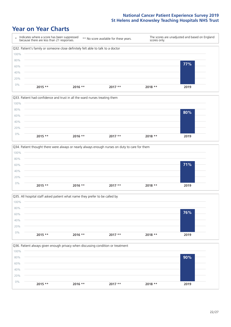







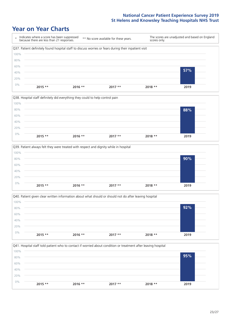







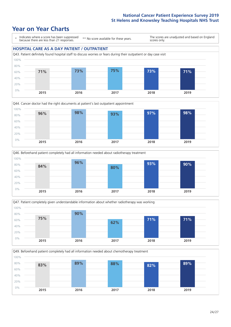







Q49. Beforehand patient completely had all information needed about chemotherapy treatment 0% 20% 40% 60% 80% 100% **2015 2016 2017 2018 2019 83% 89% 88% 82% 89%**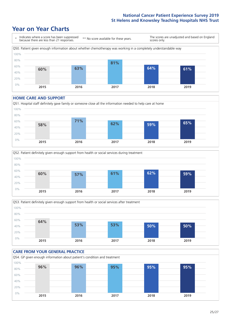### **Year on Year Charts**



#### **HOME CARE AND SUPPORT**







#### **CARE FROM YOUR GENERAL PRACTICE** Q54. GP given enough information about patient's condition and treatment 0% 20% 40% 60% 80% 100% **2015 2016 2017 2018 2019 96% 96% 95% 95% 95%**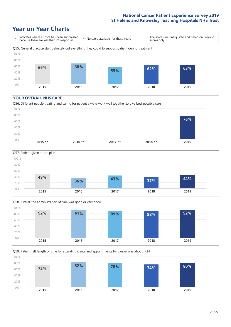### **Year on Year Charts**



#### **YOUR OVERALL NHS CARE**







Q59. Patient felt length of time for attending clinics and appointments for cancer was about right 0% 20% 40% 60% 80% 100% **2015 2016 2017 2018 2019 72% 82% 78% 74% 80%**